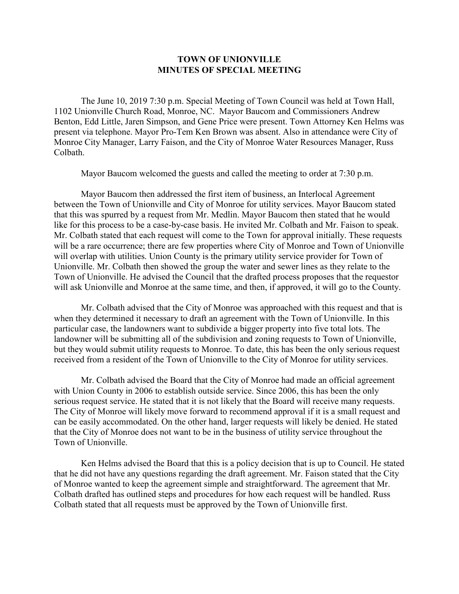## **TOWN OF UNIONVILLE MINUTES OF SPECIAL MEETING**

The June 10, 2019 7:30 p.m. Special Meeting of Town Council was held at Town Hall, 1102 Unionville Church Road, Monroe, NC. Mayor Baucom and Commissioners Andrew Benton, Edd Little, Jaren Simpson, and Gene Price were present. Town Attorney Ken Helms was present via telephone. Mayor Pro-Tem Ken Brown was absent. Also in attendance were City of Monroe City Manager, Larry Faison, and the City of Monroe Water Resources Manager, Russ Colbath.

Mayor Baucom welcomed the guests and called the meeting to order at 7:30 p.m.

Mayor Baucom then addressed the first item of business, an Interlocal Agreement between the Town of Unionville and City of Monroe for utility services. Mayor Baucom stated that this was spurred by a request from Mr. Medlin. Mayor Baucom then stated that he would like for this process to be a case-by-case basis. He invited Mr. Colbath and Mr. Faison to speak. Mr. Colbath stated that each request will come to the Town for approval initially. These requests will be a rare occurrence; there are few properties where City of Monroe and Town of Unionville will overlap with utilities. Union County is the primary utility service provider for Town of Unionville. Mr. Colbath then showed the group the water and sewer lines as they relate to the Town of Unionville. He advised the Council that the drafted process proposes that the requestor will ask Unionville and Monroe at the same time, and then, if approved, it will go to the County.

Mr. Colbath advised that the City of Monroe was approached with this request and that is when they determined it necessary to draft an agreement with the Town of Unionville. In this particular case, the landowners want to subdivide a bigger property into five total lots. The landowner will be submitting all of the subdivision and zoning requests to Town of Unionville, but they would submit utility requests to Monroe. To date, this has been the only serious request received from a resident of the Town of Unionville to the City of Monroe for utility services.

Mr. Colbath advised the Board that the City of Monroe had made an official agreement with Union County in 2006 to establish outside service. Since 2006, this has been the only serious request service. He stated that it is not likely that the Board will receive many requests. The City of Monroe will likely move forward to recommend approval if it is a small request and can be easily accommodated. On the other hand, larger requests will likely be denied. He stated that the City of Monroe does not want to be in the business of utility service throughout the Town of Unionville.

Ken Helms advised the Board that this is a policy decision that is up to Council. He stated that he did not have any questions regarding the draft agreement. Mr. Faison stated that the City of Monroe wanted to keep the agreement simple and straightforward. The agreement that Mr. Colbath drafted has outlined steps and procedures for how each request will be handled. Russ Colbath stated that all requests must be approved by the Town of Unionville first.